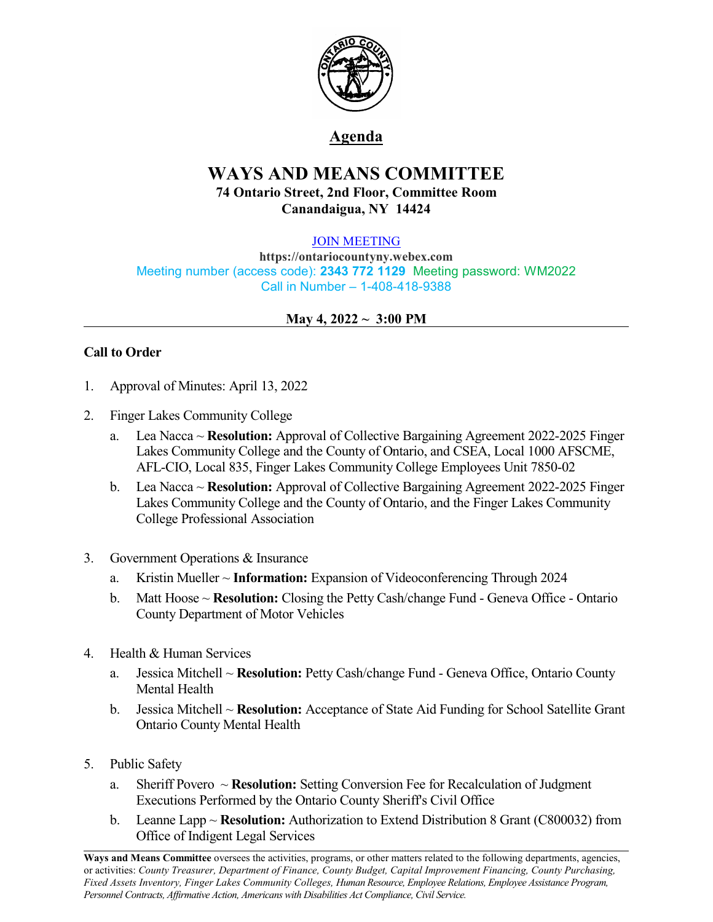

# **Agenda**

# **WAYS AND MEANS COMMITTEE 74 Ontario Street, 2nd Floor, Committee Room Canandaigua, NY 14424**

#### [JOIN MEETING](https://ontariocountyny.webex.com/)

**https://ontariocountyny.webex.com** Meeting number (access code): **2343 772 1129** Meeting password: WM2022 Call in Number – 1-408-418-9388

## **May 4, 2022 ~ 3:00 PM**

## **Call to Order**

- 1. Approval of Minutes: April 13, 2022
- 2. Finger Lakes Community College
	- a. Lea Nacca ~ **Resolution:** Approval of Collective Bargaining Agreement 2022-2025 Finger Lakes Community College and the County of Ontario, and CSEA, Local 1000 AFSCME, AFL-CIO, Local 835, Finger Lakes Community College Employees Unit 7850-02
	- b. Lea Nacca ~ **Resolution:** Approval of Collective Bargaining Agreement 2022-2025 Finger Lakes Community College and the County of Ontario, and the Finger Lakes Community College Professional Association
- 3. Government Operations & Insurance
	- a. Kristin Mueller ~ **Information:** Expansion of Videoconferencing Through 2024
	- b. Matt Hoose ~ **Resolution:** Closing the Petty Cash/change Fund Geneva Office Ontario County Department of Motor Vehicles
- 4. Health & Human Services
	- a. Jessica Mitchell ~ **Resolution:** Petty Cash/change Fund Geneva Office, Ontario County Mental Health
	- b. Jessica Mitchell ~ **Resolution:** Acceptance of State Aid Funding for School Satellite Grant Ontario County Mental Health
- 5. Public Safety
	- a. Sheriff Povero ~ **Resolution:** Setting Conversion Fee for Recalculation of Judgment Executions Performed by the Ontario County Sheriff's Civil Office
	- b. Leanne Lapp ~ **Resolution:** Authorization to Extend Distribution 8 Grant (C800032) from Office of Indigent Legal Services

**Ways and Means Committee** oversees the activities, programs, or other matters related to the following departments, agencies, or activities: *County Treasurer, Department of Finance, County Budget, Capital Improvement Financing, County Purchasing, Fixed Assets Inventory, Finger Lakes Community Colleges, Human Resource, Employee Relations, Employee Assistance Program, Personnel Contracts, Af irmative Action, Americans with Disabilities Act Compliance, Civil Service.*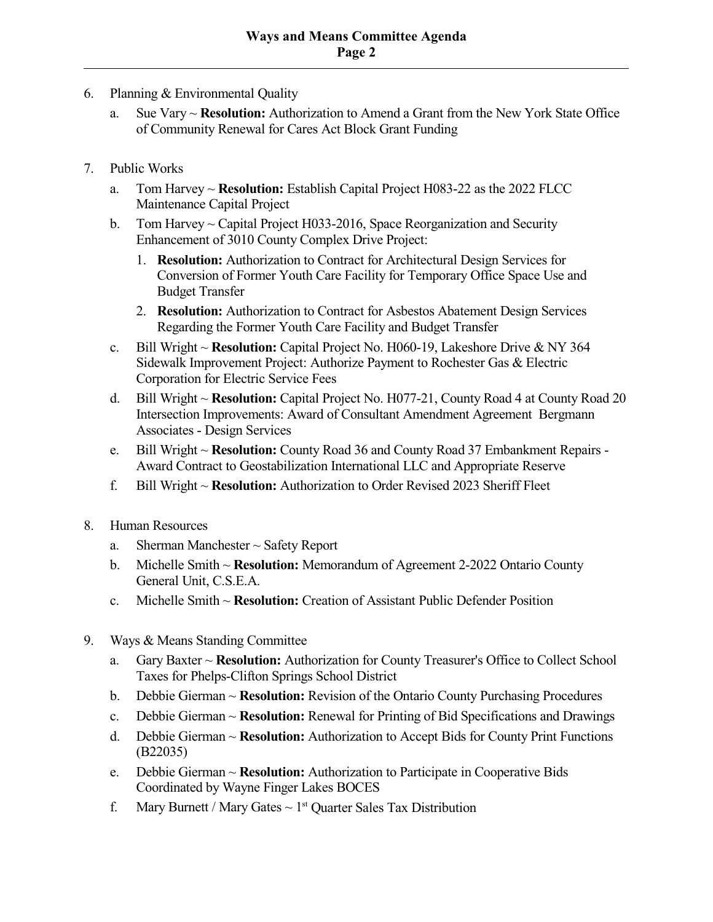- 6. Planning & Environmental Quality
	- a. Sue Vary ~ **Resolution:** Authorization to Amend a Grant from the New York State Office of Community Renewal for Cares Act Block Grant Funding
- 7. Public Works
	- a. Tom Harvey ~ **Resolution:** Establish Capital Project H083-22 as the 2022 FLCC Maintenance Capital Project
	- b. Tom Harvey ~ Capital Project H033-2016, Space Reorganization and Security Enhancement of 3010 County Complex Drive Project:
		- 1. **Resolution:** Authorization to Contract for Architectural Design Services for Conversion of Former Youth Care Facility for Temporary Office Space Use and Budget Transfer
		- 2. **Resolution:** Authorization to Contract for Asbestos Abatement Design Services Regarding the Former Youth Care Facility and Budget Transfer
	- c. Bill Wright ~ **Resolution:** Capital Project No. H060-19, Lakeshore Drive & NY 364 Sidewalk Improvement Project: Authorize Payment to Rochester Gas & Electric Corporation for Electric Service Fees
	- d. Bill Wright ~ **Resolution:** Capital Project No. H077-21, County Road 4 at County Road 20 Intersection Improvements: Award of Consultant Amendment Agreement Bergmann Associates - Design Services
	- e. Bill Wright ~ **Resolution:** County Road 36 and County Road 37 Embankment Repairs Award Contract to Geostabilization International LLC and Appropriate Reserve
	- f. Bill Wright ~ **Resolution:** Authorization to Order Revised 2023 Sheriff Fleet
- 8. Human Resources
	- a. Sherman Manchester ~ Safety Report
	- b. Michelle Smith ~ **Resolution:** Memorandum of Agreement 2-2022 Ontario County General Unit, C.S.E.A.
	- c. Michelle Smith ~ **Resolution:** Creation of Assistant Public Defender Position
- 9. Ways & Means Standing Committee
	- a. Gary Baxter ~ **Resolution:** Authorization for County Treasurer's Office to Collect School Taxes for Phelps-Clifton Springs School District
	- b. Debbie Gierman ~ **Resolution:** Revision of the Ontario County Purchasing Procedures
	- c. Debbie Gierman ~ **Resolution:** Renewal for Printing of Bid Specifications and Drawings
	- d. Debbie Gierman ~ **Resolution:** Authorization to Accept Bids for County Print Functions (B22035)
	- e. Debbie Gierman ~ **Resolution:** Authorization to Participate in Cooperative Bids Coordinated by Wayne Finger Lakes BOCES
	- f. Mary Burnett / Mary Gates  $\sim 1^{st}$  Quarter Sales Tax Distribution